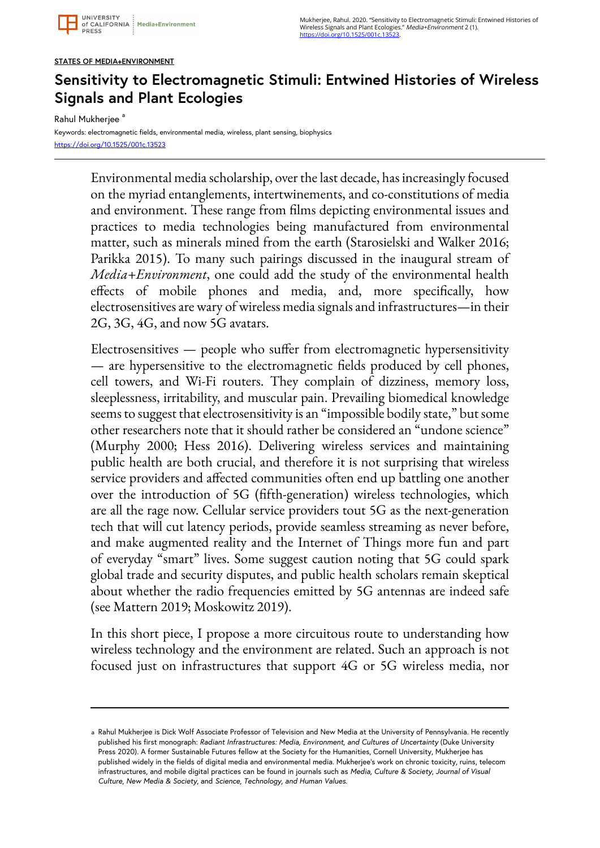## **STATES OF MEDIA+ENVIRONMENT**

## **Sensitivity to Electromagnetic Stimuli: Entwined Histories of Wireless Signals and Plant Ecologies**

Rahul Mukherjee<sup>a</sup>

Keywords: electromagnetic fields, environmental media, wireless, plant sensing, biophysics <https://doi.org/10.1525/001c.13523>

> Environmental media scholarship, over the last decade, has increasingly focused on the myriad entanglements, intertwinements, and co-constitutions of media and environment. These range from films depicting environmental issues and practices to media technologies being manufactured from environmental matter, such as minerals mined from the earth (Starosielski and Walker 2016; Parikka 2015). To many such pairings discussed in the inaugural stream of *Media+Environment*, one could add the study of the environmental health effects of mobile phones and media, and, more specifically, how electrosensitives are wary of wireless media signals and infrastructures—in their 2G, 3G, 4G, and now 5G avatars.

> Electrosensitives — people who suffer from electromagnetic hypersensitivity — are hypersensitive to the electromagnetic fields produced by cell phones, cell towers, and Wi-Fi routers. They complain of dizziness, memory loss, sleeplessness, irritability, and muscular pain. Prevailing biomedical knowledge seems to suggest that electrosensitivity is an "impossible bodily state," but some other researchers note that it should rather be considered an "undone science" (Murphy 2000; Hess 2016). Delivering wireless services and maintaining public health are both crucial, and therefore it is not surprising that wireless service providers and affected communities often end up battling one another over the introduction of 5G (fifth-generation) wireless technologies, which are all the rage now. Cellular service providers tout 5G as the next-generation tech that will cut latency periods, provide seamless streaming as never before, and make augmented reality and the Internet of Things more fun and part of everyday "smart" lives. Some suggest caution noting that 5G could spark global trade and security disputes, and public health scholars remain skeptical about whether the radio frequencies emitted by 5G antennas are indeed safe (see Mattern 2019; Moskowitz 2019).

> In this short piece, I propose a more circuitous route to understanding how wireless technology and the environment are related. Such an approach is not focused just on infrastructures that support 4G or 5G wireless media, nor

a Rahul Mukherjee is Dick Wolf Associate Professor of Television and New Media at the University of Pennsylvania. He recently published his first monograph: *Radiant Infrastructures: Media, Environment, and Cultures of Uncertainty* (Duke University Press 2020). A former Sustainable Futures fellow at the Society for the Humanities, Cornell University, Mukherjee has published widely in the fields of digital media and environmental media. Mukherjee's work on chronic toxicity, ruins, telecom infrastructures, and mobile digital practices can be found in journals such as *Media, Culture & Society*, *Journal of Visual Culture*, *New Media & Society*, and *Science, Technology, and Human Values*.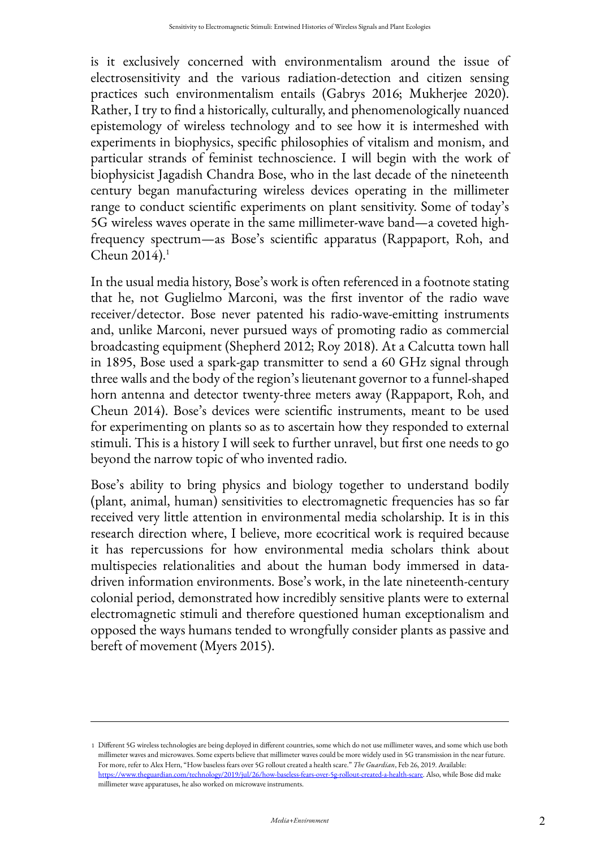is it exclusively concerned with environmentalism around the issue of electrosensitivity and the various radiation-detection and citizen sensing practices such environmentalism entails (Gabrys 2016; Mukherjee 2020). Rather, I try to find a historically, culturally, and phenomenologically nuanced epistemology of wireless technology and to see how it is intermeshed with experiments in biophysics, specific philosophies of vitalism and monism, and particular strands of feminist technoscience. I will begin with the work of biophysicist Jagadish Chandra Bose, who in the last decade of the nineteenth century began manufacturing wireless devices operating in the millimeter range to conduct scientific experiments on plant sensitivity. Some of today's 5G wireless waves operate in the same millimeter-wave band—a coveted highfrequency spectrum—as Bose's scientific apparatus (Rappaport, Roh, and Cheun 2014). 1

In the usual media history, Bose's work is often referenced in a footnote stating that he, not Guglielmo Marconi, was the first inventor of the radio wave receiver/detector. Bose never patented his radio-wave-emitting instruments and, unlike Marconi, never pursued ways of promoting radio as commercial broadcasting equipment (Shepherd 2012; Roy 2018). At a Calcutta town hall in 1895, Bose used a spark-gap transmitter to send a 60 GHz signal through three walls and the body of the region's lieutenant governor to a funnel-shaped horn antenna and detector twenty-three meters away (Rappaport, Roh, and Cheun 2014). Bose's devices were scientific instruments, meant to be used for experimenting on plants so as to ascertain how they responded to external stimuli. This is a history I will seek to further unravel, but first one needs to go beyond the narrow topic of who invented radio.

Bose's ability to bring physics and biology together to understand bodily (plant, animal, human) sensitivities to electromagnetic frequencies has so far received very little attention in environmental media scholarship. It is in this research direction where, I believe, more ecocritical work is required because it has repercussions for how environmental media scholars think about multispecies relationalities and about the human body immersed in datadriven information environments. Bose's work, in the late nineteenth-century colonial period, demonstrated how incredibly sensitive plants were to external electromagnetic stimuli and therefore questioned human exceptionalism and opposed the ways humans tended to wrongfully consider plants as passive and bereft of movement (Myers 2015).

Different 5G wireless technologies are being deployed in different countries, some which do not use millimeter waves, and some which use both 1 millimeter waves and microwaves. Some experts believe that millimeter waves could be more widely used in 5G transmission in the near future. For more, refer to Alex Hern, "How baseless fears over 5G rollout created a health scare." *The Guardian*, Feb 26, 2019. Available: [https://www.theguardian.com/technology/2019/jul/26/how-baseless-fears-over-5g-rollout-created-a-health-scare.](https://www.theguardian.com/technology/2019/jul/26/how-baseless-fears-over-5g-rollout-created-a-health-scare) Also, while Bose did make millimeter wave apparatuses, he also worked on microwave instruments.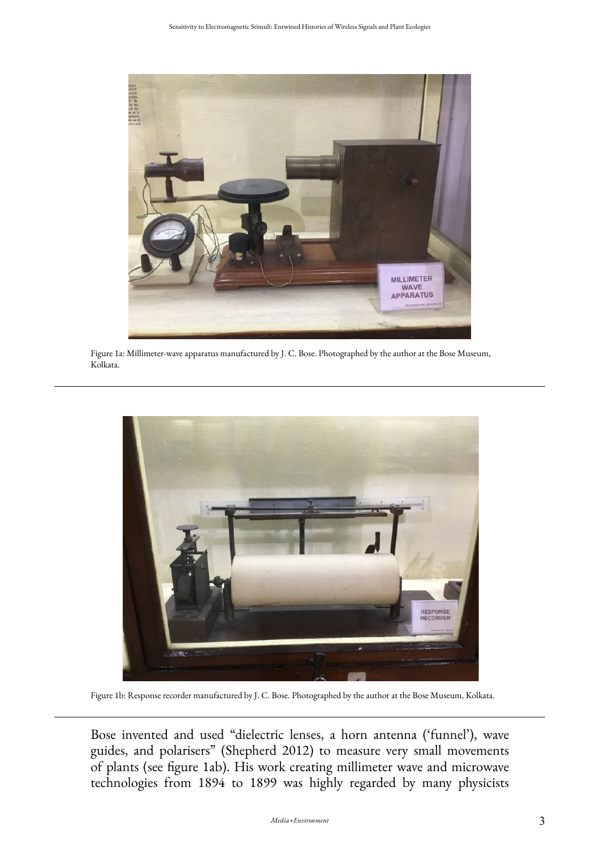

Figure 1a: Millimeter-wave apparatus manufactured by J. C. Bose. Photographed by the author at the Bose Museum, Kolkata.



Figure 1b: Response recorder manufactured by J. C. Bose. Photographed by the author at the Bose Museum, Kolkata.

Bose invented and used "dielectric lenses, a horn antenna ('funnel'), wave guides, and polarisers" (Shepherd 2012) to measure very small movements of plants (see figure 1ab). His work creating millimeter wave and microwave technologies from 1894 to 1899 was highly regarded by many physicists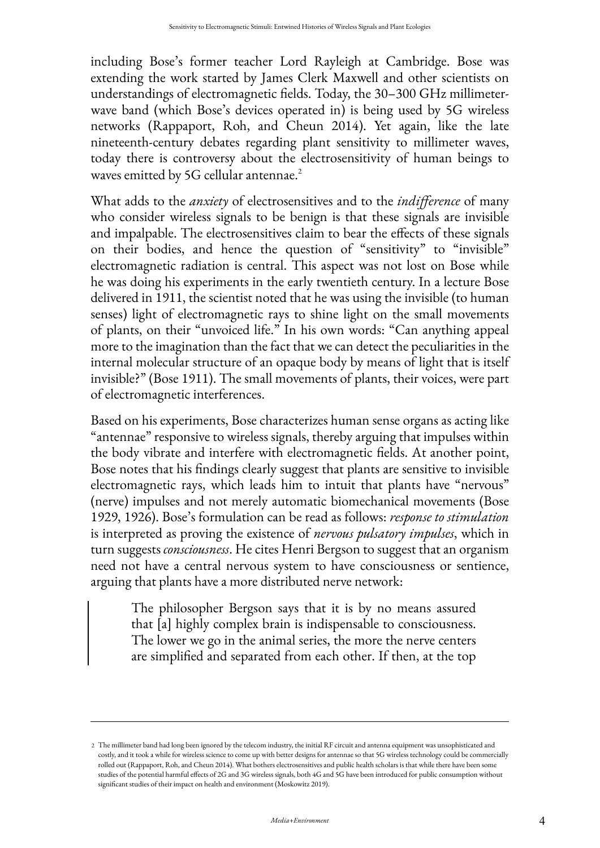including Bose's former teacher Lord Rayleigh at Cambridge. Bose was extending the work started by James Clerk Maxwell and other scientists on understandings of electromagnetic fields. Today, the 30–300 GHz millimeterwave band (which Bose's devices operated in) is being used by 5G wireless networks (Rappaport, Roh, and Cheun 2014). Yet again, like the late nineteenth-century debates regarding plant sensitivity to millimeter waves, today there is controversy about the electrosensitivity of human beings to waves emitted by 5G cellular antennae.<sup>2</sup>

What adds to the *anxiety* of electrosensitives and to the *indifference* of many who consider wireless signals to be benign is that these signals are invisible and impalpable. The electrosensitives claim to bear the effects of these signals on their bodies, and hence the question of "sensitivity" to "invisible" electromagnetic radiation is central. This aspect was not lost on Bose while he was doing his experiments in the early twentieth century. In a lecture Bose delivered in 1911, the scientist noted that he was using the invisible (to human senses) light of electromagnetic rays to shine light on the small movements of plants, on their "unvoiced life." In his own words: "Can anything appeal more to the imagination than the fact that we can detect the peculiarities in the internal molecular structure of an opaque body by means of light that is itself invisible?" (Bose 1911). The small movements of plants, their voices, were part of electromagnetic interferences.

Based on his experiments, Bose characterizes human sense organs as acting like "antennae" responsive to wireless signals, thereby arguing that impulses within the body vibrate and interfere with electromagnetic fields. At another point, Bose notes that his findings clearly suggest that plants are sensitive to invisible electromagnetic rays, which leads him to intuit that plants have "nervous" (nerve) impulses and not merely automatic biomechanical movements (Bose 1929, 1926). Bose's formulation can be read as follows: *response to stimulation*  is interpreted as proving the existence of *nervous pulsatory impulses*, which in turn suggests *consciousness*. He cites Henri Bergson to suggest that an organism need not have a central nervous system to have consciousness or sentience, arguing that plants have a more distributed nerve network:

The philosopher Bergson says that it is by no means assured that [a] highly complex brain is indispensable to consciousness. The lower we go in the animal series, the more the nerve centers are simplified and separated from each other. If then, at the top

The millimeter band had long been ignored by the telecom industry, the initial RF circuit and antenna equipment was unsophisticated and 2 costly, and it took a while for wireless science to come up with better designs for antennae so that 5G wireless technology could be commercially rolled out (Rappaport, Roh, and Cheun 2014). What bothers electrosensitives and public health scholars is that while there have been some studies of the potential harmful effects of 2G and 3G wireless signals, both 4G and 5G have been introduced for public consumption without significant studies of their impact on health and environment (Moskowitz 2019).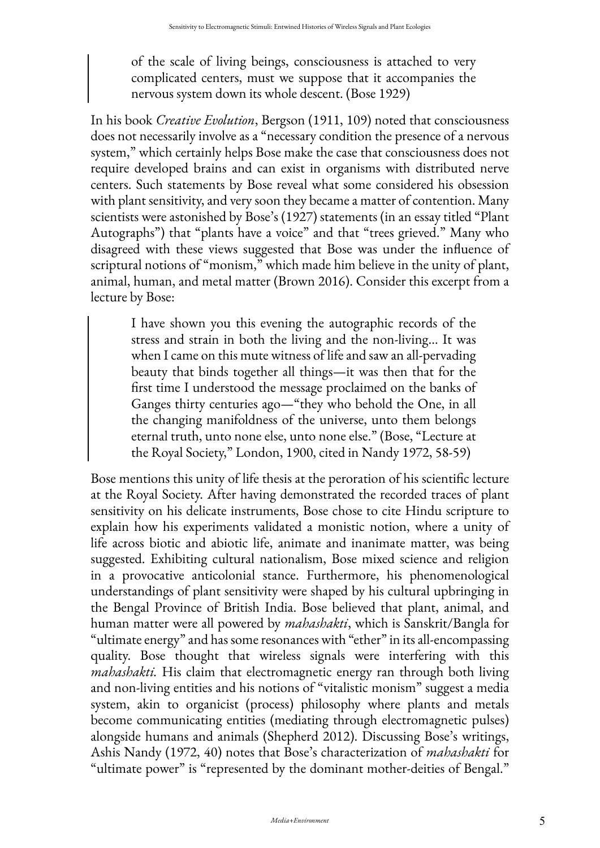of the scale of living beings, consciousness is attached to very complicated centers, must we suppose that it accompanies the nervous system down its whole descent. (Bose 1929)

In his book *Creative Evolution*, Bergson (1911, 109) noted that consciousness does not necessarily involve as a "necessary condition the presence of a nervous system," which certainly helps Bose make the case that consciousness does not require developed brains and can exist in organisms with distributed nerve centers. Such statements by Bose reveal what some considered his obsession with plant sensitivity, and very soon they became a matter of contention. Many scientists were astonished by Bose's (1927) statements (in an essay titled "Plant Autographs") that "plants have a voice" and that "trees grieved." Many who disagreed with these views suggested that Bose was under the influence of scriptural notions of "monism," which made him believe in the unity of plant, animal, human, and metal matter (Brown 2016). Consider this excerpt from a lecture by Bose:

I have shown you this evening the autographic records of the stress and strain in both the living and the non-living… It was when I came on this mute witness of life and saw an all-pervading beauty that binds together all things—it was then that for the first time I understood the message proclaimed on the banks of Ganges thirty centuries ago—"they who behold the One, in all the changing manifoldness of the universe, unto them belongs eternal truth, unto none else, unto none else." (Bose, "Lecture at the Royal Society," London, 1900, cited in Nandy 1972, 58-59)

Bose mentions this unity of life thesis at the peroration of his scientific lecture at the Royal Society. After having demonstrated the recorded traces of plant sensitivity on his delicate instruments, Bose chose to cite Hindu scripture to explain how his experiments validated a monistic notion, where a unity of life across biotic and abiotic life, animate and inanimate matter, was being suggested. Exhibiting cultural nationalism, Bose mixed science and religion in a provocative anticolonial stance. Furthermore, his phenomenological understandings of plant sensitivity were shaped by his cultural upbringing in the Bengal Province of British India. Bose believed that plant, animal, and human matter were all powered by *mahashakti*, which is Sanskrit/Bangla for "ultimate energy" and has some resonances with "ether" in its all-encompassing quality. Bose thought that wireless signals were interfering with this *mahashakti.* His claim that electromagnetic energy ran through both living and non-living entities and his notions of "vitalistic monism" suggest a media system, akin to organicist (process) philosophy where plants and metals become communicating entities (mediating through electromagnetic pulses) alongside humans and animals (Shepherd 2012). Discussing Bose's writings, Ashis Nandy (1972, 40) notes that Bose's characterization of *mahashakti* for "ultimate power" is "represented by the dominant mother-deities of Bengal."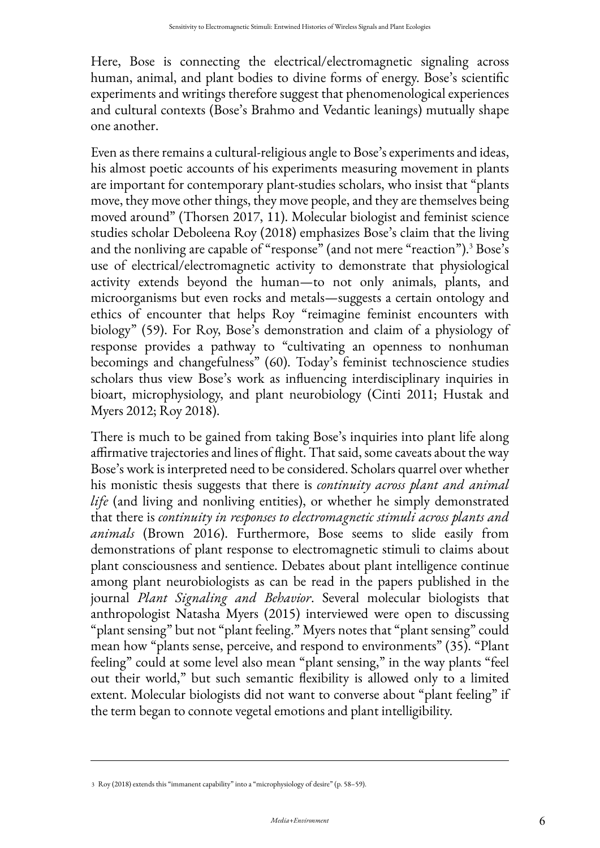Here, Bose is connecting the electrical/electromagnetic signaling across human, animal, and plant bodies to divine forms of energy. Bose's scientific experiments and writings therefore suggest that phenomenological experiences and cultural contexts (Bose's Brahmo and Vedantic leanings) mutually shape one another.

Even as there remains a cultural-religious angle to Bose's experiments and ideas, his almost poetic accounts of his experiments measuring movement in plants are important for contemporary plant-studies scholars, who insist that "plants move, they move other things, they move people, and they are themselves being moved around" (Thorsen 2017, 11). Molecular biologist and feminist science studies scholar Deboleena Roy (2018) emphasizes Bose's claim that the living and the nonliving are capable of "response" (and not mere "reaction").<sup>3</sup> Bose's use of electrical/electromagnetic activity to demonstrate that physiological activity extends beyond the human—to not only animals, plants, and microorganisms but even rocks and metals—suggests a certain ontology and ethics of encounter that helps Roy "reimagine feminist encounters with biology" (59). For Roy, Bose's demonstration and claim of a physiology of response provides a pathway to "cultivating an openness to nonhuman becomings and changefulness" (60). Today's feminist technoscience studies scholars thus view Bose's work as influencing interdisciplinary inquiries in bioart, microphysiology, and plant neurobiology (Cinti 2011; Hustak and Myers 2012; Roy 2018).

There is much to be gained from taking Bose's inquiries into plant life along affirmative trajectories and lines of flight. That said, some caveats about the way Bose's work is interpreted need to be considered. Scholars quarrel over whether his monistic thesis suggests that there is *continuity across plant and animal life* (and living and nonliving entities), or whether he simply demonstrated that there is *continuity in responses to electromagnetic stimuli across plants and animals* (Brown 2016). Furthermore, Bose seems to slide easily from demonstrations of plant response to electromagnetic stimuli to claims about plant consciousness and sentience. Debates about plant intelligence continue among plant neurobiologists as can be read in the papers published in the journal *Plant Signaling and Behavior*. Several molecular biologists that anthropologist Natasha Myers (2015) interviewed were open to discussing "plant sensing" but not "plant feeling." Myers notes that "plant sensing" could mean how "plants sense, perceive, and respond to environments" (35). "Plant feeling" could at some level also mean "plant sensing," in the way plants "feel out their world," but such semantic flexibility is allowed only to a limited extent. Molecular biologists did not want to converse about "plant feeling" if the term began to connote vegetal emotions and plant intelligibility.

<sup>3</sup> Roy (2018) extends this "immanent capability" into a "microphysiology of desire" (p. 58–59).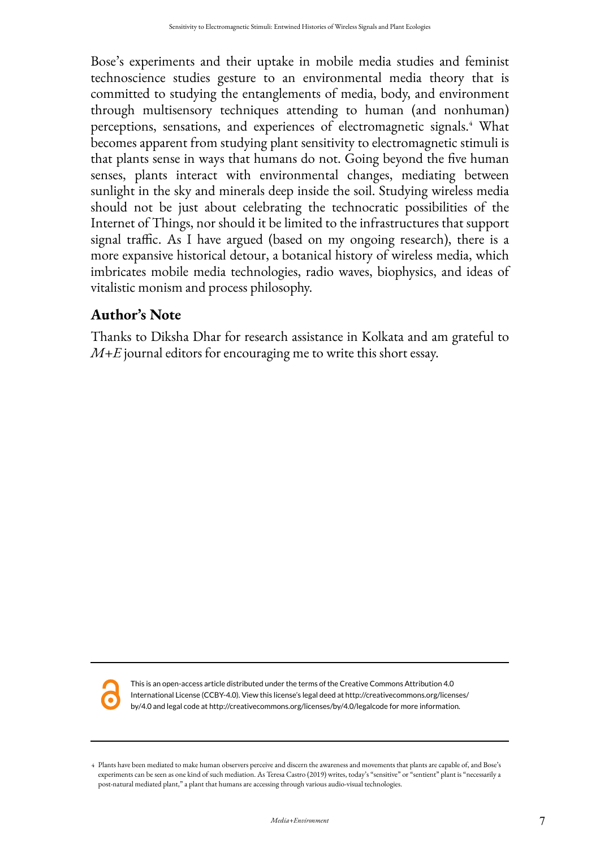Bose's experiments and their uptake in mobile media studies and feminist technoscience studies gesture to an environmental media theory that is committed to studying the entanglements of media, body, and environment through multisensory techniques attending to human (and nonhuman) perceptions, sensations, and experiences of electromagnetic signals.<sup>4</sup> What becomes apparent from studying plant sensitivity to electromagnetic stimuli is that plants sense in ways that humans do not. Going beyond the five human senses, plants interact with environmental changes, mediating between sunlight in the sky and minerals deep inside the soil. Studying wireless media should not be just about celebrating the technocratic possibilities of the Internet of Things, nor should it be limited to the infrastructures that support signal traffic. As I have argued (based on my ongoing research), there is a more expansive historical detour, a botanical history of wireless media, which imbricates mobile media technologies, radio waves, biophysics, and ideas of vitalistic monism and process philosophy.

## **Author's Note**

Thanks to Diksha Dhar for research assistance in Kolkata and am grateful to *M+E* journal editors for encouraging me to write this short essay.



This is an open-access article distributed under the terms of the Creative Commons Attribution 4.0 International License (CCBY-4.0). View this license's legal deed at http://creativecommons.org/licenses/ by/4.0 and legal code at http://creativecommons.org/licenses/by/4.0/legalcode for more information.

Plants have been mediated to make human observers perceive and discern the awareness and movements that plants are capable of, and Bose's 4 experiments can be seen as one kind of such mediation. As Teresa Castro (2019) writes, today's "sensitive" or "sentient" plant is "necessarily a post-natural mediated plant," a plant that humans are accessing through various audio-visual technologies.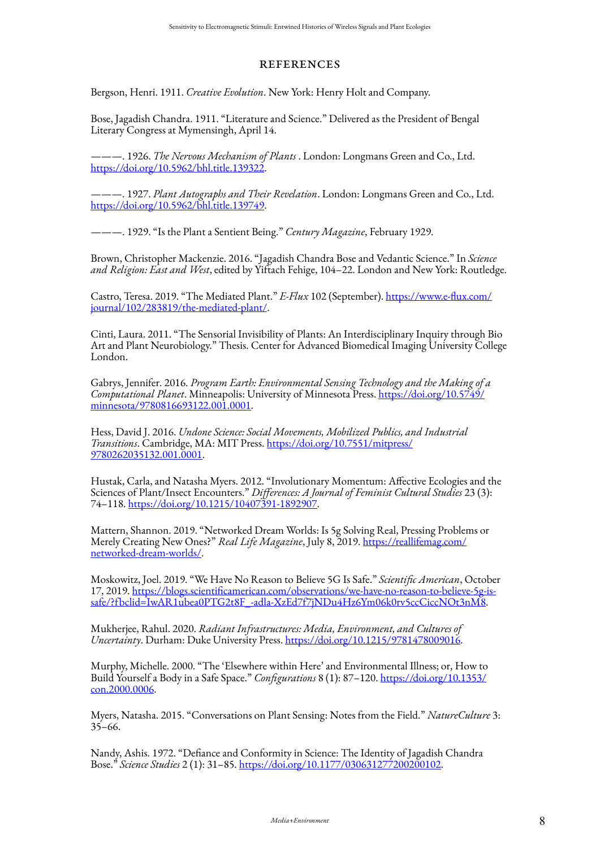## **REFERENCES**

Bergson, Henri. 1911. *Creative Evolution*. New York: Henry Holt and Company.

Bose, Jagadish Chandra. 1911. "Literature and Science." Delivered as the President of Bengal Literary Congress at Mymensingh, April 14.

———. 1926. *The Nervous Mechanism of Plants* . London: Longmans Green and Co., Ltd. <https://doi.org/10.5962/bhl.title.139322>.

———. 1927. *Plant Autographs and Their Revelation*. London: Longmans Green and Co., Ltd. <https://doi.org/10.5962/bhl.title.139749>.

———. 1929. "Is the Plant a Sentient Being." *Century Magazine*, February 1929.

Brown, Christopher Mackenzie. 2016. "Jagadish Chandra Bose and Vedantic Science." In *Science and Religion: East and West*, edited by Yiftach Fehige, 104–22. London and New York: Routledge.

Castro, Teresa. 2019. "The Mediated Plant." *E-Flux* 102 (September). [https://www.e-flux.com/](https://www.e-flux.com/journal/102/283819/the-mediated-plant/) [journal/102/283819/the-mediated-plant/](https://www.e-flux.com/journal/102/283819/the-mediated-plant/).

Cinti, Laura. 2011. "The Sensorial Invisibility of Plants: An Interdisciplinary Inquiry through Bio Art and Plant Neurobiology." Thesis. Center for Advanced Biomedical Imaging University College London.

Gabrys, Jennifer. 2016. *Program Earth: Environmental Sensing Technology and the Making of a Computational Planet*. Minneapolis: University of Minnesota Press. [https://doi.org/10.5749/](https://doi.org/10.5749/minnesota/9780816693122.001.0001) [minnesota/9780816693122.001.0001](https://doi.org/10.5749/minnesota/9780816693122.001.0001).

Hess, David J. 2016. *Undone Science: Social Movements, Mobilized Publics, and Industrial Transitions*. Cambridge, MA: MIT Press. [https://doi.org/10.7551/mitpress/](https://doi.org/10.7551/mitpress/9780262035132.001.0001) [9780262035132.001.0001.](https://doi.org/10.7551/mitpress/9780262035132.001.0001)

Hustak, Carla, and Natasha Myers. 2012. "Involutionary Momentum: Affective Ecologies and the Sciences of Plant/Insect Encounters." *Differences: A Journal of Feminist Cultural Studies* 23 (3): 74–118. [https://doi.org/10.1215/10407391-1892907.](https://doi.org/10.1215/10407391-1892907)

Mattern, Shannon. 2019. "Networked Dream Worlds: Is 5g Solving Real, Pressing Problems or Merely Creating New Ones?" *Real Life Magazine*, July 8, 2019. [https://reallifemag.com/](https://reallifemag.com/networked-dream-worlds/) [networked-dream-worlds/.](https://reallifemag.com/networked-dream-worlds/)

Moskowitz, Joel. 2019. "We Have No Reason to Believe 5G Is Safe." *Scientific American*, October 17, 2019. [https://blogs.scientificamerican.com/observations/we-have-no-reason-to-believe-5g-is](https://blogs.scientificamerican.com/observations/we-have-no-reason-to-believe-5g-is-safe/?fbclid=IwAR1ubea0PTG2t8F_-adla-XzEd7f7jNDu4Hz6Ym06k0rv5ccCiccNOt3nM8)[safe/?fbclid=IwAR1ubea0PTG2t8F\\_-adla-XzEd7f7jNDu4Hz6Ym06k0rv5ccCiccNOt3nM8](https://blogs.scientificamerican.com/observations/we-have-no-reason-to-believe-5g-is-safe/?fbclid=IwAR1ubea0PTG2t8F_-adla-XzEd7f7jNDu4Hz6Ym06k0rv5ccCiccNOt3nM8).

Mukherjee, Rahul. 2020. *Radiant Infrastructures: Media, Environment, and Cultures of Uncertainty*. Durham: Duke University Press. [https://doi.org/10.1215/9781478009016.](https://doi.org/10.1215/9781478009016)

Murphy, Michelle. 2000. "The 'Elsewhere within Here' and Environmental Illness; or, How to Build Yourself a Body in a Safe Space." *Configurations* 8 (1): 87–120. [https://doi.org/10.1353/](https://doi.org/10.1353/con.2000.0006) [con.2000.0006.](https://doi.org/10.1353/con.2000.0006)

Myers, Natasha. 2015. "Conversations on Plant Sensing: Notes from the Field." *NatureCulture* 3: 35–66.

Nandy, Ashis. 1972. "Defiance and Conformity in Science: The Identity of Jagadish Chandra Bose." *Science Studies* 2 (1): 31–85. [https://doi.org/10.1177/030631277200200102.](https://doi.org/10.1177/030631277200200102)